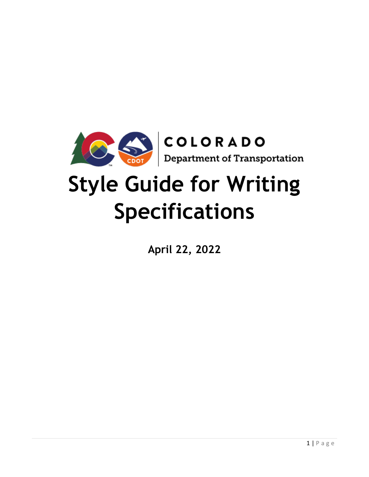

# **Style Guide for Writing Specifications**

**April 22, 2022**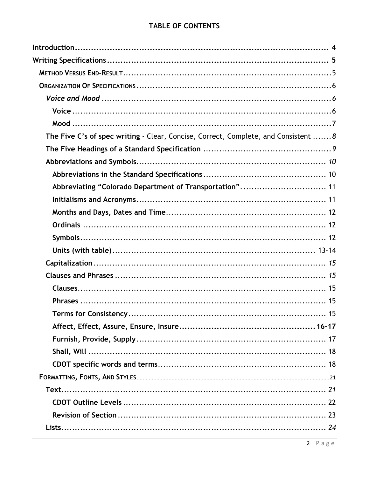# TABLE OF CONTENTS

| The Five C's of spec writing - Clear, Concise, Correct, Complete, and Consistent  8 |
|-------------------------------------------------------------------------------------|
|                                                                                     |
|                                                                                     |
|                                                                                     |
| Abbreviating "Colorado Department of Transportation" 11                             |
|                                                                                     |
|                                                                                     |
|                                                                                     |
|                                                                                     |
|                                                                                     |
|                                                                                     |
|                                                                                     |
|                                                                                     |
|                                                                                     |
|                                                                                     |
|                                                                                     |
|                                                                                     |
|                                                                                     |
|                                                                                     |
|                                                                                     |
|                                                                                     |
|                                                                                     |
|                                                                                     |
|                                                                                     |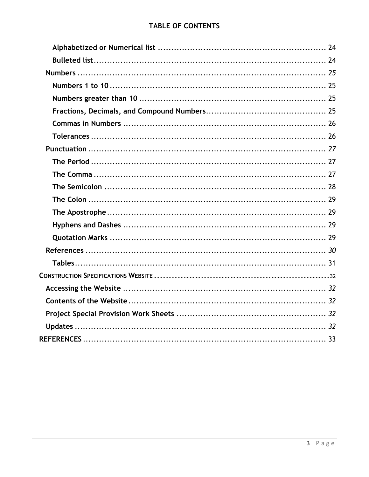# **TABLE OF CONTENTS**

<span id="page-2-0"></span>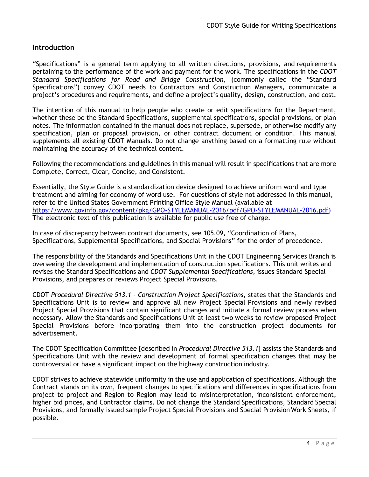# **Introduction**

"Specifications" is a general term applying to all written directions, provisions, and requirements pertaining to the performance of the work and payment for the work. The specifications in the *CDOT Standard Specifications for Road and Bridge Construction,* (commonly called the "Standard Specifications") convey CDOT needs to Contractors and Construction Managers, communicate a project's procedures and requirements, and define a project's quality, design, construction, and cost.

The intention of this manual to help people who create or edit specifications for the Department, whether these be the Standard Specifications, supplemental specifications, special provisions, or plan notes. The information contained in the manual does not replace, supersede, or otherwise modify any specification, plan or proposal provision, or other contract document or condition. This manual supplements all existing CDOT Manuals. Do not change anything based on a formatting rule without maintaining the accuracy of the technical content.

Following the recommendations and guidelines in this manual will result in specifications that are more Complete, Correct, Clear, Concise, and Consistent.

Essentially, the Style Guide is a standardization device designed to achieve uniform word and type treatment and aiming for economy of word use. For questions of style not addressed in this manual, refer to the United States Government Printing Office Style Manual (available at [https://www.govinfo.gov/content/pkg/GPO-STYLEMANUAL-2016/pdf/GPO-STYLEMANUAL-2016.pdf\)](https://www.govinfo.gov/content/pkg/GPO-STYLEMANUAL-2016/pdf/GPO-STYLEMANUAL-2016.pdf) The electronic text of this publication is available for public use free of charge.

In case of discrepancy between contract documents, see 105.09, "Coordination of Plans, Specifications, Supplemental Specifications, and Special Provisions" for the order of precedence.

The responsibility of the Standards and Specifications Unit in the CDOT Engineering Services Branch is overseeing the development and implementation of construction specifications. This unit writes and revises the Standard Specifications and *CDOT Supplemental Specifications*, issues Standard Special Provisions, and prepares or reviews Project Special Provisions.

CDOT *Procedural Directive 513.1 - Construction Project Specifications*, states that the Standards and Specifications Unit is to review and approve all new Project Special Provisions and newly revised Project Special Provisions that contain significant changes and initiate a formal review process when necessary. Allow the Standards and Specifications Unit at least two weeks to review proposed Project Special Provisions before incorporating them into the construction project documents for advertisement.

The CDOT Specification Committee [described in *Procedural Directive 513.1*] assists the Standards and Specifications Unit with the review and development of formal specification changes that may be controversial or have a significant impact on the highway construction industry.

CDOT strives to achieve statewide uniformity in the use and application of specifications. Although the Contract stands on its own, frequent changes to specifications and differences in specifications from project to project and Region to Region may lead to misinterpretation, inconsistent enforcement, higher bid prices, and Contractor claims. Do not change the Standard Specifications, Standard Special Provisions, and formally issued sample Project Special Provisions and Special Provision Work Sheets, if possible.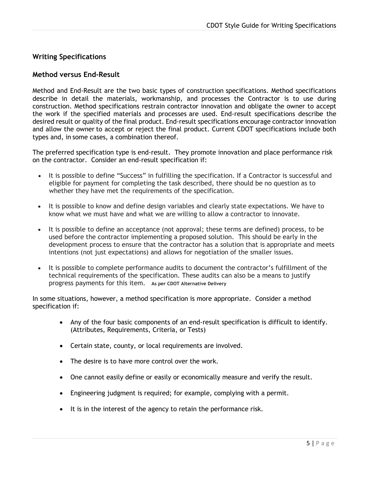# <span id="page-4-0"></span>**Writing Specifications**

# <span id="page-4-1"></span>**Method versus End-Result**

Method and End-Result are the two basic types of construction specifications. Method specifications describe in detail the materials, workmanship, and processes the Contractor is to use during construction. Method specifications restrain contractor innovation and obligate the owner to accept the work if the specified materials and processes are used. End-result specifications describe the desired result or quality of the final product. End-result specifications encourage contractor innovation and allow the owner to accept or reject the final product. Current CDOT specifications include both types and, in some cases, a combination thereof.

The preferred specification type is end-result. They promote innovation and place performance risk on the contractor. Consider an end-result specification if:

- It is possible to define "Success" in fulfilling the specification. If a Contractor is successful and eligible for payment for completing the task described, there should be no question as to whether they have met the requirements of the specification.
- It is possible to know and define design variables and clearly state expectations. We have to know what we must have and what we are willing to allow a contractor to innovate.
- It is possible to define an acceptance (not approval; these terms are defined) process, to be used before the contractor implementing a proposed solution. This should be early in the development process to ensure that the contractor has a solution that is appropriate and meets intentions (not just expectations) and allows for negotiation of the smaller issues.
- It is possible to complete performance audits to document the contractor's fulfillment of the technical requirements of the specification. These audits can also be a means to justify progress payments for this item. **As per CDOT Alternative Delivery**

In some situations, however, a method specification is more appropriate. Consider a method specification if:

- Any of the four basic components of an end-result specification is difficult to identify. (Attributes, Requirements, Criteria, or Tests)
- Certain state, county, or local requirements are involved.
- The desire is to have more control over the work.
- One cannot easily define or easily or economically measure and verify the result.
- Engineering judgment is required; for example, complying with a permit.
- It is in the interest of the agency to retain the performance risk.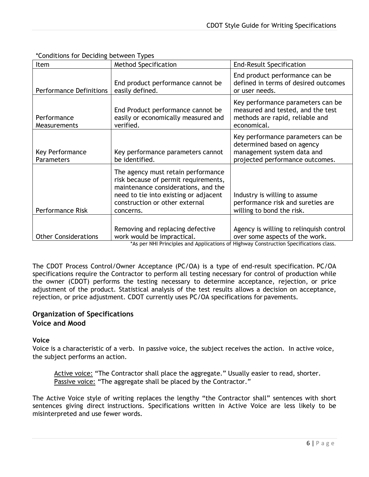| Item                           | <b>Method Specification</b>                                                                                                                                                                               | <b>End-Result Specification</b>                                                                                                                                   |
|--------------------------------|-----------------------------------------------------------------------------------------------------------------------------------------------------------------------------------------------------------|-------------------------------------------------------------------------------------------------------------------------------------------------------------------|
| <b>Performance Definitions</b> | End product performance cannot be<br>easily defined.                                                                                                                                                      | End product performance can be<br>defined in terms of desired outcomes<br>or user needs.                                                                          |
| Performance<br>Measurements    | End Product performance cannot be<br>easily or economically measured and<br>verified.                                                                                                                     | Key performance parameters can be<br>measured and tested, and the test<br>methods are rapid, reliable and<br>economical.                                          |
| Key Performance<br>Parameters  | Key performance parameters cannot<br>be identified.                                                                                                                                                       | Key performance parameters can be<br>determined based on agency<br>management system data and<br>projected performance outcomes.                                  |
| <b>Performance Risk</b>        | The agency must retain performance<br>risk because of permit requirements,<br>maintenance considerations, and the<br>need to tie into existing or adjacent<br>construction or other external<br>concerns. | Industry is willing to assume<br>performance risk and sureties are<br>willing to bond the risk.                                                                   |
| <b>Other Considerations</b>    | Removing and replacing defective<br>work would be impractical.                                                                                                                                            | Agency is willing to relinquish control<br>over some aspects of the work.<br>*As nor NHI Drinciples and Applications of Highway Construction Consifications class |

\*Conditions for Deciding between Types

\*As per NHI Principles and Applications of Highway Construction Specifications class.

The CDOT Process Control/Owner Acceptance (PC/OA) is a type of end-result specification. PC/OA specifications require the Contractor to perform all testing necessary for control of production while the owner (CDOT) performs the testing necessary to determine acceptance, rejection, or price adjustment of the product. Statistical analysis of the test results allows a decision on acceptance, rejection, or price adjustment. CDOT currently uses PC/OA specifications for pavements.

# <span id="page-5-1"></span><span id="page-5-0"></span>**Organization of Specifications Voice and Mood**

# <span id="page-5-2"></span>**Voice**

Voice is a characteristic of a verb. In passive voice, the subject receives the action. In active voice, the subject performs an action.

Active voice: "The Contractor shall place the aggregate." Usually easier to read, shorter. Passive voice: "The aggregate shall be placed by the Contractor."

The Active Voice style of writing replaces the lengthy "the Contractor shall" sentences with short sentences giving direct instructions. Specifications written in Active Voice are less likely to be misinterpreted and use fewer words.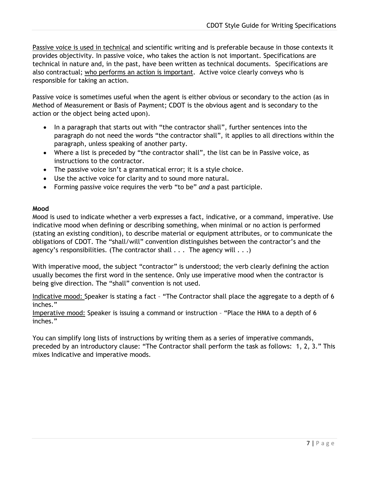Passive voice is used in technical and scientific writing and is preferable because in those contexts it provides objectivity. In passive voice, who takes the action is not important. Specifications are technical in nature and, in the past, have been written as technical documents. Specifications are also contractual; who performs an action is important. Active voice clearly conveys who is responsible for taking an action.

Passive voice is sometimes useful when the agent is either obvious or secondary to the action (as in Method of Measurement or Basis of Payment; CDOT is the obvious agent and is secondary to the action or the object being acted upon).

- In a paragraph that starts out with "the contractor shall", further sentences into the paragraph do not need the words "the contractor shall", it applies to all directions within the paragraph, unless speaking of another party.
- Where a list is preceded by "the contractor shall", the list can be in Passive voice, as instructions to the contractor.
- The passive voice isn't a grammatical error; it is a style choice.
- Use the active voice for clarity and to sound more natural.
- Forming passive voice requires the verb "to be" *and* a past participle.

# <span id="page-6-0"></span>**Mood**

Mood is used to indicate whether a verb expresses a fact, indicative, or a command, imperative. Use indicative mood when defining or describing something, when minimal or no action is performed (stating an existing condition), to describe material or equipment attributes, or to communicate the obligations of CDOT. The "shall/will" convention distinguishes between the contractor's and the agency's responsibilities. (The contractor shall  $\dots$  The agency will  $\dots$ )

With imperative mood, the subject "contractor" is understood; the verb clearly defining the action usually becomes the first word in the sentence. Only use imperative mood when the contractor is being give direction. The "shall" convention is not used.

Indicative mood: Speaker is stating a fact – "The Contractor shall place the aggregate to a depth of 6 inches."

Imperative mood: Speaker is issuing a command or instruction – "Place the HMA to a depth of 6 inches."

You can simplify long lists of instructions by writing them as a series of imperative commands, preceded by an introductory clause: "The Contractor shall perform the task as follows: 1, 2, 3." This mixes Indicative and imperative moods.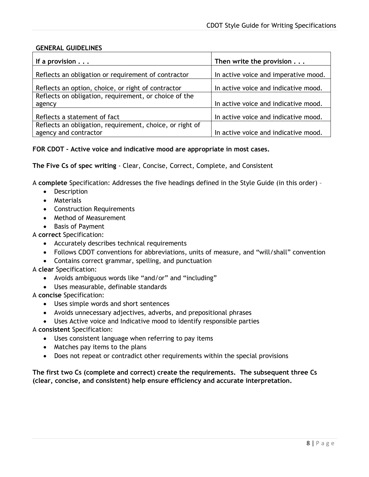# **GENERAL GUIDELINES**

| If a provision $\ldots$                                  | Then write the provision             |
|----------------------------------------------------------|--------------------------------------|
| Reflects an obligation or requirement of contractor      | In active voice and imperative mood. |
| Reflects an option, choice, or right of contractor       | In active voice and indicative mood. |
| Reflects on obligation, requirement, or choice of the    |                                      |
| agency                                                   | In active voice and indicative mood. |
| Reflects a statement of fact                             | In active voice and indicative mood. |
| Reflects an obligation, requirement, choice, or right of |                                      |
| agency and contractor                                    | In active voice and indicative mood. |

# **FOR CDOT - Active voice and indicative mood are appropriate in most cases.**

<span id="page-7-0"></span>**The Five Cs of spec writing** - Clear, Concise, Correct, Complete, and Consistent

A **complete** Specification: Addresses the five headings defined in the Style Guide (in this order) –

- Description
- Materials
- Construction Requirements
- Method of Measurement
- Basis of Payment

# A **correct** Specification:

- Accurately describes technical requirements
- Follows CDOT conventions for abbreviations, units of measure, and "will/shall" convention
- Contains correct grammar, spelling, and punctuation

## A **clear** Specification:

- Avoids ambiguous words like "and/or" and "including"
- Uses measurable, definable standards
- A **concise** Specification:
	- Uses simple words and short sentences
	- Avoids unnecessary adjectives, adverbs, and prepositional phrases
	- Uses Active voice and Indicative mood to identify responsible parties
- A **consistent** Specification:
	- Uses consistent language when referring to pay items
	- Matches pay items to the plans
	- Does not repeat or contradict other requirements within the special provisions

## <span id="page-7-1"></span>**The first two Cs (complete and correct) create the requirements. The subsequent three Cs (clear, concise, and consistent) help ensure efficiency and accurate interpretation.**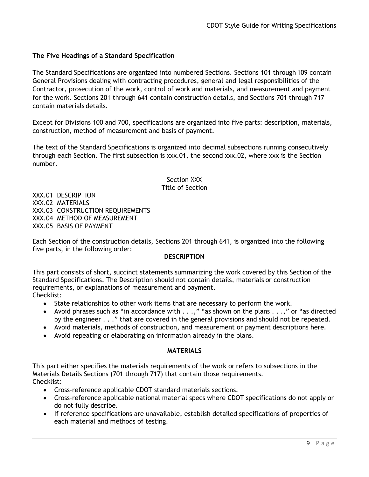# **The Five Headings of a Standard Specification**

The Standard Specifications are organized into numbered Sections. Sections 101 through 109 contain General Provisions dealing with contracting procedures, general and legal responsibilities of the Contractor, prosecution of the work, control of work and materials, and measurement and payment for the work. Sections 201 through 641 contain construction details, and Sections 701 through 717 contain materials details.

Except for Divisions 100 and 700, specifications are organized into five parts: description, materials, construction, method of measurement and basis of payment.

The text of the Standard Specifications is organized into decimal subsections running consecutively through each Section. The first subsection is xxx.01, the second xxx.02, where xxx is the Section number.

> Section XXX Title of Section

XXX.01 DESCRIPTION XXX.02 MATERIALS XXX.03 CONSTRUCTION REQUIREMENTS XXX.04 METHOD OF MEASUREMENT XXX.05 BASIS OF PAYMENT

Each Section of the construction details, Sections 201 through 641, is organized into the following five parts, in the following order:

#### **DESCRIPTION**

This part consists of short, succinct statements summarizing the work covered by this Section of the Standard Specifications. The Description should not contain details, materials or construction requirements, or explanations of measurement and payment. Checklist:

- State relationships to other work items that are necessary to perform the work.
- Avoid phrases such as "in accordance with . . .," "as shown on the plans . . .," or "as directed by the engineer . . ." that are covered in the general provisions and should not be repeated.
- Avoid materials, methods of construction, and measurement or payment descriptions here.
- Avoid repeating or elaborating on information already in the plans.

#### **MATERIALS**

This part either specifies the materials requirements of the work or refers to subsections in the Materials Details Sections (701 through 717) that contain those requirements. Checklist:

- Cross-reference applicable CDOT standard materials sections.
- Cross-reference applicable national material specs where CDOT specifications do not apply or do not fully describe.
- If reference specifications are unavailable, establish detailed specifications of properties of each material and methods of testing.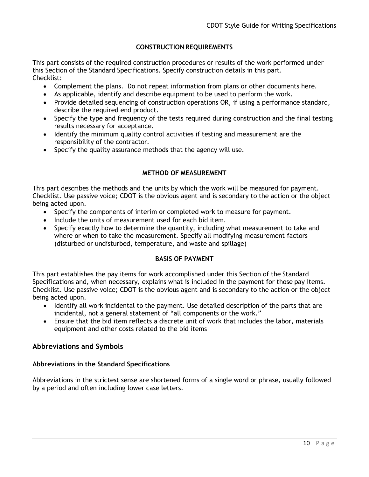# **CONSTRUCTION REQUIREMENTS**

This part consists of the required construction procedures or results of the work performed under this Section of the Standard Specifications. Specify construction details in this part. Checklist:

- Complement the plans. Do not repeat information from plans or other documents here.
- As applicable, identify and describe equipment to be used to perform the work.
- Provide detailed sequencing of construction operations OR, if using a performance standard, describe the required end product.
- Specify the type and frequency of the tests required during construction and the final testing results necessary for acceptance.
- Identify the minimum quality control activities if testing and measurement are the responsibility of the contractor.
- Specify the quality assurance methods that the agency will use.

# **METHOD OF MEASUREMENT**

This part describes the methods and the units by which the work will be measured for payment. Checklist. Use passive voice; CDOT is the obvious agent and is secondary to the action or the object being acted upon.

- Specify the components of interim or completed work to measure for payment.
- Include the units of measurement used for each bid item.
- Specify exactly how to determine the quantity, including what measurement to take and where or when to take the measurement. Specify all modifying measurement factors (disturbed or undisturbed, temperature, and waste and spillage)

## **BASIS OF PAYMENT**

This part establishes the pay items for work accomplished under this Section of the Standard Specifications and, when necessary, explains what is included in the payment for those pay items. Checklist. Use passive voice; CDOT is the obvious agent and is secondary to the action or the object being acted upon.

- Identify all work incidental to the payment. Use detailed description of the parts that are incidental, not a general statement of "all components or the work."
- Ensure that the bid item reflects a discrete unit of work that includes the labor, materials equipment and other costs related to the bid items

## <span id="page-9-0"></span>**Abbreviations and Symbols**

## <span id="page-9-1"></span>**Abbreviations in the Standard Specifications**

Abbreviations in the strictest sense are shortened forms of a single word or phrase, usually followed by a period and often including lower case letters.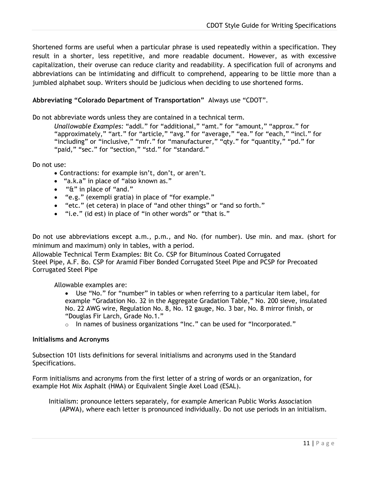Shortened forms are useful when a particular phrase is used repeatedly within a specification. They result in a shorter, less repetitive, and more readable document. However, as with excessive capitalization, their overuse can reduce clarity and readability. A specification full of acronyms and abbreviations can be intimidating and difficult to comprehend, appearing to be little more than a jumbled alphabet soup. Writers should be judicious when deciding to use shortened forms.

## <span id="page-10-0"></span>**Abbreviating "Colorado Department of Transportation"** Always use "CDOT".

Do not abbreviate words unless they are contained in a technical term.

*Unallowable Examples:* "addl." for "additional," "amt." for "amount," "approx." for "approximately," "art." for "article," "avg." for "average," "ea." for "each," "incl." for "including" or "inclusive," "mfr." for "manufacturer," "qty." for "quantity," "pd." for "paid," "sec." for "section," "std." for "standard."

Do not use:

- Contractions: for example isn't, don't, or aren't.
- "a.k.a" in place of "also known as."
- "&" in place of "and."
- "e.g." (exempli gratia) in place of "for example."
- "etc." (et cetera) in place of "and other things" or "and so forth."
- "i.e." (id est) in place of "in other words" or "that is."

Do not use abbreviations except a.m., p.m., and No. (for number). Use min. and max. (short for minimum and maximum) only in tables, with a period.

Allowable Technical Term Examples: Bit Co. CSP for Bituminous Coated Corrugated Steel Pipe, A.F. Bo. CSP for Aramid Fiber Bonded Corrugated Steel Pipe and PCSP for Precoated Corrugated Steel Pipe

Allowable examples are:

- Use "No." for "number" in tables or when referring to a particular item label, for example "Gradation No. 32 in the Aggregate Gradation Table," No. 200 sieve, insulated No. 22 AWG wire, Regulation No. 8, No. 12 gauge, No. 3 bar, No. 8 mirror finish, or "Douglas Fir Larch, Grade No.1."
- o In names of business organizations "Inc." can be used for "Incorporated."

#### <span id="page-10-1"></span>**Initialisms and Acronyms**

Subsection 101 lists definitions for several initialisms and acronyms used in the Standard Specifications.

Form initialisms and acronyms from the first letter of a string of words or an organization, for example Hot Mix Asphalt (HMA) or Equivalent Single Axel Load (ESAL).

Initialism: pronounce letters separately, for example American Public Works Association (APWA), where each letter is pronounced individually. Do not use periods in an initialism.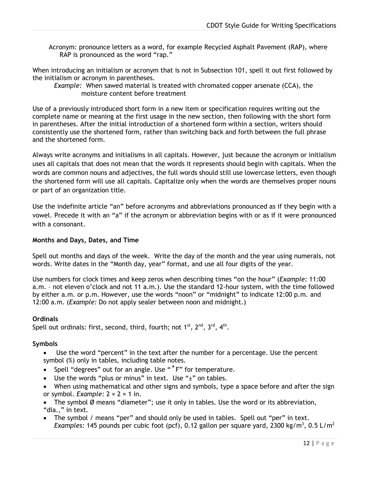Acronym: pronounce letters as a word, for example Recycled Asphalt Pavement (RAP), where RAP is pronounced as the word "rap."

When introducing an initialism or acronym that is not in Subsection 101, spell it out first followed by the initialism or acronym in parentheses.

*Example:* When sawed material is treated with chromated copper arsenate (CCA), the moisture content before treatment

Use of a previously introduced short form in a new item or specification requires writing out the complete name or meaning at the first usage in the new section, then following with the short form in parentheses. After the initial introduction of a shortened form within a section, writers should consistently use the shortened form, rather than switching back and forth between the full phrase and the shortened form.

Always write acronyms and initialisms in all capitals. However, just because the acronym or initialism uses all capitals that does not mean that the words it represents should begin with capitals. When the words are common nouns and adjectives, the full words should still use lowercase letters, even though the shortened form will use all capitals. Capitalize only when the words are themselves proper nouns or part of an organization title.

Use the indefinite article "an" before acronyms and abbreviations pronounced as if they begin with a vowel. Precede it with an "a" if the acronym or abbreviation begins with or as if it were pronounced with a consonant.

## <span id="page-11-0"></span>**Months and Days, Dates, and Time**

Spell out months and days of the week. Write the day of the month and the year using numerals, not words. Write dates in the "Month day, year" format, and use all four digits of the year.

Use numbers for clock times and keep zeros when describing times "on the hour" (*Example:* 11:00 a.m. – not eleven o'clock and not 11 a.m.). Use the standard 12-hour system, with the time followed by either a.m. or p.m. However, use the words "noon" or "midnight" to indicate 12:00 p.m. and 12:00 a.m. (*Example:* Do not apply sealer between noon and midnight.)

## <span id="page-11-1"></span>**Ordinals**

Spell out ordinals: first, second, third, fourth; not  $1^{st}$ ,  $2^{nd}$ ,  $3^{rd}$ ,  $4^{th}$ .

#### <span id="page-11-2"></span>**Symbols**

Use the word "percent" in the text after the number for a percentage. Use the percent symbol (%) only in tables, including table notes.

- Spell "degrees" out for an angle. Use "**°**F" for temperature.
- Use the words "plus or minus" in text. Use " $\pm$ " on tables.
- When using mathematical and other signs and symbols, type a space before and after the sign or symbol. *Example:* 2 × 2 × 1 in.
- The symbol Ø means "diameter"; use it only in tables. Use the word or its abbreviation, "dia.," in text.
- The symbol / means "per" and should only be used in tables. Spell out "per" in text. Examples: 145 pounds per cubic foot (pcf), 0.12 gallon per square yard, 2300 kg/m<sup>3</sup>, 0.5 L/m<sup>2</sup>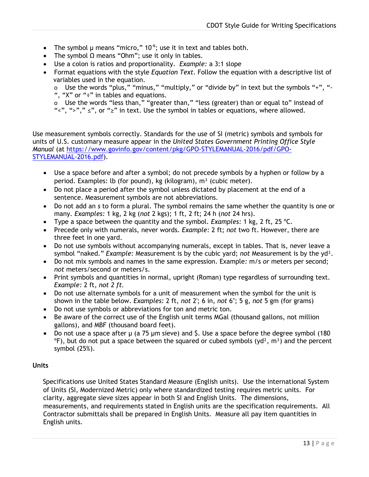- The symbol  $\mu$  means "micro," 10<sup>-6</sup>; use it in text and tables both.
- The symbol  $\Omega$  means "Ohm"; use it only in tables.
- Use a colon is ratios and proportionality. *Example:* a 3:1 slope
- Format equations with the style *Equation Text*. Follow the equation with a descriptive list of variables used in the equation.

o Use the words "plus," "minus," "multiply," or "divide by" in text but the symbols "+", "- ", " $X$ " or " $\div$ " in tables and equations.

o Use the words "less than," "greater than," "less (greater) than or equal to" instead of " $\langle$ ", ">","  $\leq$ ", or " $\geq$ " in text. Use the symbol in tables or equations, where allowed.

Use measurement symbols correctly. Standards for the use of SI (metric) symbols and symbols for units of U.S. customary measure appear in the *United States Government Printing Office Style Manual* (at [https://www.govinfo.gov/content/pkg/GPO-STYLEMANUAL-2016/pdf/GPO-](https://www.govinfo.gov/content/pkg/GPO-STYLEMANUAL-2016/pdf/GPO-STYLEMANUAL-2016.pdf)[STYLEMANUAL-2016.pdf\)](https://www.govinfo.gov/content/pkg/GPO-STYLEMANUAL-2016/pdf/GPO-STYLEMANUAL-2016.pdf).

- Use a space before and after a symbol; do not precede symbols by a hyphen or follow by a period. Examples: lb (for pound), kg (kilogram),  $m<sup>3</sup>$  (cubic meter).
- Do not place a period after the symbol unless dictated by placement at the end of a sentence. Measurement symbols are not abbreviations.
- Do not add an *s* to form a plural. The symbol remains the same whether the quantity is one or many. *Examples:* 1 kg, 2 kg (*not* 2 kgs); 1 ft, 2 ft; 24 h (*not* 24 hrs).
- Type a space between the quantity and the symbol. *Examples:* 1 kg, 2 ft, 25 ºC.
- Precede only with numerals, never words. *Example:* 2 ft; *not* two ft. However, there are three feet in one yard.
- Do not use symbols without accompanying numerals, except in tables. That is, never leave a symbol "naked." *Example:* Measurement is by the cubic yard; *not* Measurement is by the yd<sup>3</sup>.
- Do not mix symbols and names in the same expression. Example*:* m/s *or* meters per second; *not* meters/second or meters/s.
- Print symbols and quantities in normal, upright (Roman) type regardless of surrounding text. *Example:* 2 ft, *not 2 ft.*
- Do not use alternate symbols for a unit of measurement when the symbol for the unit is shown in the table below. *Examples:* 2 ft, *not* 2'; 6 in, *not* 6"; 5 g, *not* 5 gm (for grams)
- Do not use symbols or abbreviations for ton and metric ton.
- Be aware of the correct use of the English unit terms MGal (thousand gallons, not million gallons), and MBF (thousand board feet).
- Do not use a space after  $\mu$  (a 75  $\mu$ m sieve) and \$. Use a space before the degree symbol (180  $\degree$ F), but do not put a space between the squared or cubed symbols (yd<sup>2</sup>, m<sup>3</sup>) and the percent symbol (25%).

## <span id="page-12-0"></span>**Units**

Specifications use United States Standard Measure (English units). Use the international System of Units (SI, Modernized Metric) only where standardized testing requires metric units. For clarity, aggregate sieve sizes appear in both SI and English Units. The dimensions, measurements, and requirements stated in English units are the specification requirements. All Contractor submittals shall be prepared in English Units. Measure all pay item quantities in English units.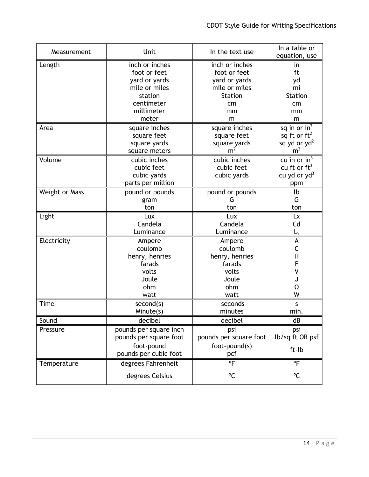| Measurement           | Unit                                                                                    | In the text use                                       | In a table or<br>equation, use                               |
|-----------------------|-----------------------------------------------------------------------------------------|-------------------------------------------------------|--------------------------------------------------------------|
| Length                | inch or inches                                                                          | inch or inches                                        | in                                                           |
|                       | foot or feet                                                                            | foot or feet                                          | ft                                                           |
|                       | yard or yards                                                                           | yard or yards                                         | yd                                                           |
|                       | mile or miles                                                                           | mile or miles                                         | mi                                                           |
|                       | station                                                                                 | <b>Station</b>                                        | <b>Station</b>                                               |
|                       | centimeter                                                                              | cm                                                    | cm                                                           |
|                       | millimeter                                                                              | mm                                                    | mm                                                           |
|                       | meter                                                                                   | m                                                     | m                                                            |
| Area                  | square inches                                                                           | square inches                                         | sq in or $in^2$                                              |
|                       | square feet                                                                             | square feet                                           | sq ft or $ft^2$                                              |
|                       | square yards                                                                            | square yards                                          | sq yd or $yd^2$                                              |
|                       | square meters                                                                           | m <sup>2</sup>                                        | m <sup>2</sup>                                               |
| Volume                | cubic inches<br>cubic feet<br>cubic yards<br>parts per million                          | cubic inches<br>cubic feet<br>cubic yards             | cu in or $in^3$<br>cu ft or $ft^3$<br>cu yd or yd $3$<br>ppm |
| <b>Weight or Mass</b> | pound or pounds                                                                         | pound or pounds                                       | lb                                                           |
|                       | gram                                                                                    | G                                                     | G                                                            |
|                       | ton                                                                                     | ton                                                   | ton                                                          |
| Light                 | Lux                                                                                     | Lux                                                   | Lx                                                           |
|                       | Candela                                                                                 | Candela                                               | Cd                                                           |
|                       | Luminance                                                                               | Luminance                                             | $L_v$                                                        |
| Electricity           | Ampere                                                                                  | Ampere                                                | A                                                            |
|                       | coulomb                                                                                 | coulomb                                               | $\mathsf C$                                                  |
|                       | henry, henries                                                                          | henry, henries                                        | $\mathsf{H}$                                                 |
|                       | farads                                                                                  | farads                                                | F                                                            |
|                       | volts                                                                                   | volts                                                 | V                                                            |
|                       | Joule                                                                                   | Joule                                                 | J                                                            |
|                       | ohm                                                                                     | ohm                                                   | Ω                                                            |
|                       | watt                                                                                    | watt                                                  | W                                                            |
| Time                  | second(s)                                                                               | seconds                                               | S                                                            |
|                       | Minute(s)                                                                               | minutes                                               | min.                                                         |
| Sound                 | decibel                                                                                 | decibel                                               | dB                                                           |
| Pressure              | pounds per square inch<br>pounds per square foot<br>foot-pound<br>pounds per cubic foot | psi<br>pounds per square foot<br>foot-pound(s)<br>pcf | psi<br>lb/sq ft OR psf<br>ft-lb                              |
| Temperature           | degrees Fahrenheit                                                                      | $\overline{P}$                                        | $^{\circ}$ F                                                 |
|                       | degrees Celsius                                                                         | °C                                                    | °C                                                           |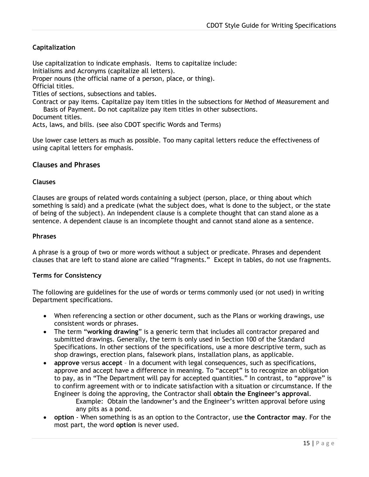# <span id="page-14-0"></span>**Capitalization**

Use capitalization to indicate emphasis. Items to capitalize include: Initialisms and Acronyms (capitalize all letters). Proper nouns (the official name of a person, place, or thing). Official titles. Titles of sections, subsections and tables. Contract or pay items. Capitalize pay item titles in the subsections for Method of Measurement and Basis of Payment. Do not capitalize pay item titles in other subsections. Document titles. Acts, laws, and bills. (see also CDOT specific Words and Terms)

Use lower case letters as much as possible. Too many capital letters reduce the effectiveness of using capital letters for emphasis.

## <span id="page-14-1"></span>**Clauses and Phrases**

#### <span id="page-14-2"></span>**Clauses**

Clauses are groups of related words containing a subject (person, place, or thing about which something is said) and a predicate (what the subject does, what is done to the subject, or the state of being of the subject). An independent clause is a complete thought that can stand alone as a sentence. A dependent clause is an incomplete thought and cannot stand alone as a sentence.

#### <span id="page-14-3"></span>**Phrases**

A phrase is a group of two or more words without a subject or predicate. Phrases and dependent clauses that are left to stand alone are called "fragments." Except in tables, do not use fragments.

#### <span id="page-14-4"></span>**Terms for Consistency**

The following are guidelines for the use of words or terms commonly used (or not used) in writing Department specifications.

- When referencing a section or other document, such as the Plans or working drawings, use consistent words or phrases.
- The term "**working drawing**" is a generic term that includes all contractor prepared and submitted drawings. Generally, the term is only used in Section 100 of the Standard Specifications. In other sections of the specifications, use a more descriptive term, such as shop drawings, erection plans, falsework plans, installation plans, as applicable.
- **approve** versus **accept**  In a document with legal consequences, such as specifications, approve and accept have a difference in meaning. To "accept" is to recognize an obligation to pay, as in "The Department will pay for accepted quantities." In contrast, to "approve" is to confirm agreement with or to indicate satisfaction with a situation or circumstance. If the Engineer is doing the approving, the Contractor shall **obtain the Engineer's approval**. Example: Obtain the landowner's and the Engineer's written approval before using any pits as a pond.
- **option**  When something is as an option to the Contractor, use **the Contractor may**. For the most part, the word **option** is never used.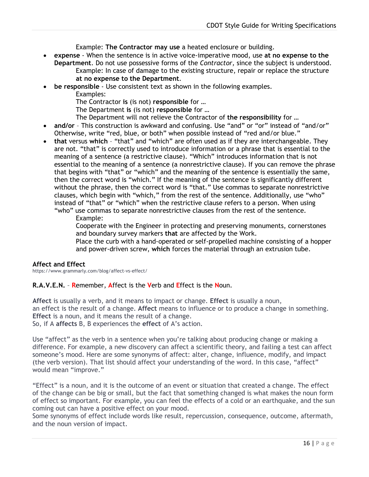Example: **The Contractor may use** a heated enclosure or building.

- **expense**  When the sentence is in active voice-imperative mood, use **at no expense to the Department**. Do not use possessive forms of the *Contractor,* since the subject is understood. Example: In case of damage to the existing structure, repair or replace the structure **at no expense to the Department**.
- **be responsible**  Use consistent text as shown in the following examples.
	- Examples:
	- The Contractor **is** (is not) **responsible** for …
	- The Department **is** (is not) **responsible** for …
	- The Department will not relieve the Contractor of **the responsibility** for …
- **and/or**  This construction is awkward and confusing. Use "and" or "or" instead of "and/or" Otherwise, write "red, blue, or both" when possible instead of "red and/or blue."
- **that** versus **which**  "that" and "which" are often used as if they are interchangeable. They are not. "that" is correctly used to introduce information or a phrase that is essential to the meaning of a sentence (a restrictive clause). "Which" introduces information that is not essential to the meaning of a sentence (a nonrestrictive clause). If you can remove the phrase that begins with "that" or "which" and the meaning of the sentence is essentially the same, then the correct word is "which." If the meaning of the sentence is significantly different without the phrase, then the correct word is "that." Use commas to separate nonrestrictive clauses, which begin with "which," from the rest of the sentence. Additionally, use "who" instead of "that" or "which" when the restrictive clause refers to a person. When using "who" use commas to separate nonrestrictive clauses from the rest of the sentence.
	- Example:

Cooperate with the Engineer in protecting and preserving monuments, cornerstones and boundary survey markers **that** are affected by the Work.

Place the curb with a hand-operated or self-propelled machine consisting of a hopper and power-driven screw, **which** forces the material through an extrusion tube.

## **Affect and Effect**

https://www.grammarly.com/blog/affect-vs-effect/

**R.A.V.E.N.** – **R**emember, **A**ffect is the **V**erb and **E**ffect is the **N**oun.

**Affect** is usually a verb, and it means to impact or change. **Effect** is usually a noun, an effect is the result of a change. **Affect** means to influence or to produce a change in something. **Effect** is a noun, and it means the result of a change. So, if A **affects** B, B experiences the **effect** of A's action.

Use "affect" as the verb in a sentence when you're talking about producing change or making a difference. For example, a new discovery can affect a scientific theory, and failing a test can affect someone's mood. Here are some synonyms of affect: alter, change, influence, modify, and impact (the verb version). That list should affect your understanding of the word. In this case, "affect" would mean "improve."

"Effect" is a noun, and it is the outcome of an event or situation that created a change. The effect of the change can be big or small, but the fact that something changed is what makes the noun form of effect so important. For example, you can feel the effects of a cold or an earthquake, and the sun coming out can have a positive effect on your mood.

Some synonyms of effect include words like result, repercussion, consequence, outcome, aftermath, and the noun version of impact.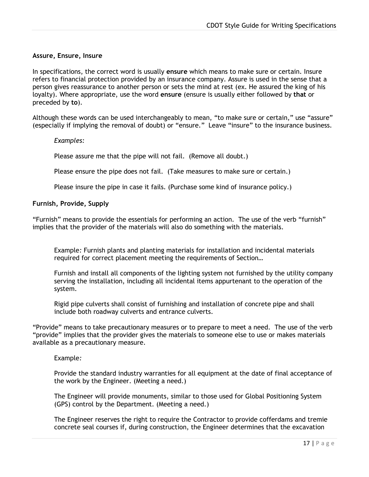#### <span id="page-16-0"></span>**Assure, Ensure, Insu***r***e**

In specifications, the correct word is usually **ensure** which means to make sure or certain. Insure refers to financial protection provided by an insurance company. Assure is used in the sense that a person gives reassurance to another person or sets the mind at rest (ex. He assured the king of his loyalty). Where appropriate, use the word **ensure** (ensure is usually either followed by **that** or preceded by **to**).

Although these words can be used interchangeably to mean, "to make sure or certain," use "assure" (especially if implying the removal of doubt) or "ensure." Leave "insure" to the insurance business.

#### *Examples:*

Please assure me that the pipe will not fail. (Remove all doubt.)

Please ensure the pipe does not fail. (Take measures to make sure or certain.)

Please insure the pipe in case it fails. (Purchase some kind of insurance policy.)

#### <span id="page-16-1"></span>**Furnish, Provide, Supply**

"Furnish" means to provide the essentials for performing an action. The use of the verb "furnish" implies that the provider of the materials will also do something with the materials.

Example*:* Furnish plants and planting materials for installation and incidental materials required for correct placement meeting the requirements of Section…

Furnish and install all components of the lighting system not furnished by the utility company serving the installation, including all incidental items appurtenant to the operation of the system.

Rigid pipe culverts shall consist of furnishing and installation of concrete pipe and shall include both roadway culverts and entrance culverts.

"Provide" means to take precautionary measures or to prepare to meet a need. The use of the verb "provide" implies that the provider gives the materials to someone else to use or makes materials available as a precautionary measure.

#### Example*:*

Provide the standard industry warranties for all equipment at the date of final acceptance of the work by the Engineer. (Meeting a need.)

The Engineer will provide monuments, similar to those used for Global Positioning System (GPS) control by the Department. (Meeting a need.)

The Engineer reserves the right to require the Contractor to provide cofferdams and tremie concrete seal courses if, during construction, the Engineer determines that the excavation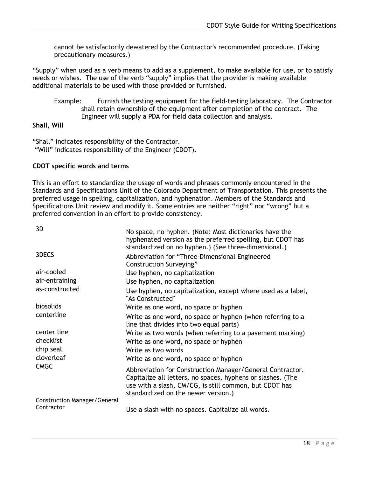cannot be satisfactorily dewatered by the Contractor's recommended procedure. (Taking precautionary measures.)

"Supply" when used as a verb means to add as a supplement, to make available for use, or to satisfy needs or wishes. The use of the verb "supply" implies that the provider is making available additional materials to be used with those provided or furnished.

Example*:* Furnish the testing equipment for the field-testing laboratory. The Contractor shall retain ownership of the equipment after completion of the contract. The Engineer will supply a PDA for field data collection and analysis.

# <span id="page-17-0"></span>**Shall, Will**

"Shall" indicates responsibility of the Contractor. "Will" indicates responsibility of the Engineer (CDOT).

## <span id="page-17-1"></span>**CDOT specific words and terms**

This is an effort to standardize the usage of words and phrases commonly encountered in the Standards and Specifications Unit of the Colorado Department of Transportation. This presents the preferred usage in spelling, capitalization, and hyphenation. Members of the Standards and Specifications Unit review and modify it. Some entries are neither "right" nor "wrong" but a preferred convention in an effort to provide consistency.

| 3D                                                | No space, no hyphen. (Note: Most dictionaries have the<br>hyphenated version as the preferred spelling, but CDOT has<br>standardized on no hyphen.) (See three-dimensional.)                                              |
|---------------------------------------------------|---------------------------------------------------------------------------------------------------------------------------------------------------------------------------------------------------------------------------|
| 3DECS                                             | Abbreviation for "Three-Dimensional Engineered<br>Construction Surveying"                                                                                                                                                 |
| air-cooled                                        | Use hyphen, no capitalization                                                                                                                                                                                             |
| air-entraining                                    | Use hyphen, no capitalization                                                                                                                                                                                             |
| as-constructed                                    | Use hyphen, no capitalization, except where used as a label,<br>"As Constructed"                                                                                                                                          |
| biosolids                                         | Write as one word, no space or hyphen                                                                                                                                                                                     |
| centerline                                        | Write as one word, no space or hyphen (when referring to a<br>line that divides into two equal parts)                                                                                                                     |
| center line                                       | Write as two words (when referring to a pavement marking)                                                                                                                                                                 |
| checklist                                         | Write as one word, no space or hyphen                                                                                                                                                                                     |
| chip seal                                         | Write as two words                                                                                                                                                                                                        |
| cloverleaf                                        | Write as one word, no space or hyphen                                                                                                                                                                                     |
| <b>CMGC</b>                                       | Abbreviation for Construction Manager/General Contractor.<br>Capitalize all letters, no spaces, hyphens or slashes. (The<br>use with a slash, CM/CG, is still common, but CDOT has<br>standardized on the newer version.) |
| <b>Construction Manager/General</b><br>Contractor | Use a slash with no spaces. Capitalize all words.                                                                                                                                                                         |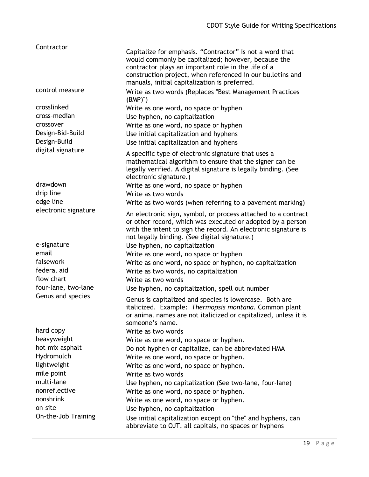| Contractor           | Capitalize for emphasis. "Contractor" is not a word that<br>would commonly be capitalized; however, because the<br>contractor plays an important role in the life of a<br>construction project, when referenced in our bulletins and<br>manuals, initial capitalization is preferred. |
|----------------------|---------------------------------------------------------------------------------------------------------------------------------------------------------------------------------------------------------------------------------------------------------------------------------------|
| control measure      | Write as two words (Replaces "Best Management Practices<br>$(BMP)$ ")                                                                                                                                                                                                                 |
| crosslinked          | Write as one word, no space or hyphen                                                                                                                                                                                                                                                 |
| cross-median         | Use hyphen, no capitalization                                                                                                                                                                                                                                                         |
| crossover            | Write as one word, no space or hyphen                                                                                                                                                                                                                                                 |
| Design-Bid-Build     | Use initial capitalization and hyphens                                                                                                                                                                                                                                                |
| Design-Build         | Use initial capitalization and hyphens                                                                                                                                                                                                                                                |
| digital signature    | A specific type of electronic signature that uses a<br>mathematical algorithm to ensure that the signer can be<br>legally verified. A digital signature is legally binding. (See<br>electronic signature.)                                                                            |
| drawdown             | Write as one word, no space or hyphen                                                                                                                                                                                                                                                 |
| drip line            | Write as two words                                                                                                                                                                                                                                                                    |
| edge line            | Write as two words (when referring to a pavement marking)                                                                                                                                                                                                                             |
| electronic signature | An electronic sign, symbol, or process attached to a contract<br>or other record, which was executed or adopted by a person<br>with the intent to sign the record. An electronic signature is<br>not legally binding. (See digital signature.)                                        |
| e-signature          | Use hyphen, no capitalization                                                                                                                                                                                                                                                         |
| email                | Write as one word, no space or hyphen                                                                                                                                                                                                                                                 |
| falsework            | Write as one word, no space or hyphen, no capitalization                                                                                                                                                                                                                              |
| federal aid          | Write as two words, no capitalization                                                                                                                                                                                                                                                 |
| flow chart           | Write as two words                                                                                                                                                                                                                                                                    |
| four-lane, two-lane  | Use hyphen, no capitalization, spell out number                                                                                                                                                                                                                                       |
| Genus and species    | Genus is capitalized and species is lowercase. Both are<br>italicized. Example: Thermopsis montana. Common plant<br>or animal names are not italicized or capitalized, unless it is<br>someone's name.                                                                                |
| hard copy            | Write as two words                                                                                                                                                                                                                                                                    |
| heavyweight          | Write as one word, no space or hyphen.                                                                                                                                                                                                                                                |
| hot mix asphalt      | Do not hyphen or capitalize, can be abbreviated HMA                                                                                                                                                                                                                                   |
| Hydromulch           | Write as one word, no space or hyphen.                                                                                                                                                                                                                                                |
| lightweight          | Write as one word, no space or hyphen.                                                                                                                                                                                                                                                |
| mile point           | Write as two words                                                                                                                                                                                                                                                                    |
| multi-lane           | Use hyphen, no capitalization (See two-lane, four-lane)                                                                                                                                                                                                                               |
| nonreflective        | Write as one word, no space or hyphen.                                                                                                                                                                                                                                                |
| nonshrink            | Write as one word, no space or hyphen.                                                                                                                                                                                                                                                |
| on-site              | Use hyphen, no capitalization                                                                                                                                                                                                                                                         |
| On-the-Job Training  | Use initial capitalization except on "the" and hyphens, can<br>abbreviate to OJT, all capitals, no spaces or hyphens                                                                                                                                                                  |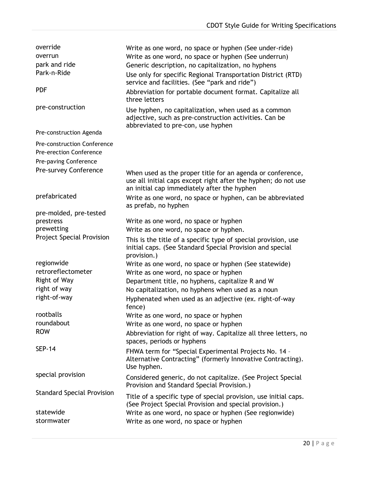| override                                                             | Write as one word, no space or hyphen (See under-ride)                                                                                                                      |
|----------------------------------------------------------------------|-----------------------------------------------------------------------------------------------------------------------------------------------------------------------------|
| overrun                                                              | Write as one word, no space or hyphen (See underrun)                                                                                                                        |
| park and ride                                                        | Generic description, no capitalization, no hyphens                                                                                                                          |
| Park-n-Ride                                                          | Use only for specific Regional Transportation District (RTD)<br>service and facilities. (See "park and ride")                                                               |
| <b>PDF</b>                                                           | Abbreviation for portable document format. Capitalize all<br>three letters                                                                                                  |
| pre-construction                                                     | Use hyphen, no capitalization, when used as a common<br>adjective, such as pre-construction activities. Can be<br>abbreviated to pre-con, use hyphen                        |
| Pre-construction Agenda                                              |                                                                                                                                                                             |
| <b>Pre-construction Conference</b><br><b>Pre-erection Conference</b> |                                                                                                                                                                             |
| Pre-paving Conference                                                |                                                                                                                                                                             |
| Pre-survey Conference                                                | When used as the proper title for an agenda or conference,<br>use all initial caps except right after the hyphen; do not use<br>an initial cap immediately after the hyphen |
| prefabricated                                                        | Write as one word, no space or hyphen, can be abbreviated<br>as prefab, no hyphen                                                                                           |
| pre-molded, pre-tested                                               |                                                                                                                                                                             |
| prestress                                                            | Write as one word, no space or hyphen                                                                                                                                       |
| prewetting                                                           | Write as one word, no space or hyphen.                                                                                                                                      |
| <b>Project Special Provision</b>                                     | This is the title of a specific type of special provision, use<br>initial caps. (See Standard Special Provision and special<br>provision.)                                  |
| regionwide                                                           | Write as one word, no space or hyphen (See statewide)                                                                                                                       |
| retroreflectometer                                                   | Write as one word, no space or hyphen                                                                                                                                       |
| Right of Way                                                         | Department title, no hyphens, capitalize R and W                                                                                                                            |
| right of way                                                         | No capitalization, no hyphens when used as a noun                                                                                                                           |
| right-of-way                                                         | Hyphenated when used as an adjective (ex. right-of-way<br>fence)                                                                                                            |
| rootballs                                                            | Write as one word, no space or hyphen                                                                                                                                       |
| roundabout                                                           | Write as one word, no space or hyphen                                                                                                                                       |
| <b>ROW</b>                                                           | Abbreviation for right of way. Capitalize all three letters, no<br>spaces, periods or hyphens                                                                               |
| <b>SEP-14</b>                                                        | FHWA term for "Special Experimental Projects No. 14 -<br>Alternative Contracting" (formerly Innovative Contracting).<br>Use hyphen.                                         |
| special provision                                                    | Considered generic, do not capitalize. (See Project Special<br>Provision and Standard Special Provision.)                                                                   |
| <b>Standard Special Provision</b>                                    | Title of a specific type of special provision, use initial caps.<br>(See Project Special Provision and special provision.)                                                  |
| statewide                                                            | Write as one word, no space or hyphen (See regionwide)                                                                                                                      |
| stormwater                                                           | Write as one word, no space or hyphen                                                                                                                                       |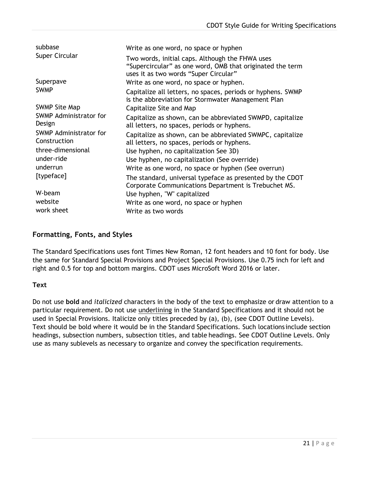| subbase                                | Write as one word, no space or hyphen                                                                                                                 |
|----------------------------------------|-------------------------------------------------------------------------------------------------------------------------------------------------------|
| Super Circular                         | Two words, initial caps. Although the FHWA uses<br>"Supercircular" as one word, OMB that originated the term<br>uses it as two words "Super Circular" |
| Superpave                              | Write as one word, no space or hyphen.                                                                                                                |
| <b>SWMP</b>                            | Capitalize all letters, no spaces, periods or hyphens. SWMP<br>is the abbreviation for Stormwater Management Plan                                     |
| <b>SWMP Site Map</b>                   | Capitalize Site and Map                                                                                                                               |
| SWMP Administrator for<br>Design       | Capitalize as shown, can be abbreviated SWMPD, capitalize<br>all letters, no spaces, periods or hyphens.                                              |
| SWMP Administrator for<br>Construction | Capitalize as shown, can be abbreviated SWMPC, capitalize<br>all letters, no spaces, periods or hyphens.                                              |
| three-dimensional                      | Use hyphen, no capitalization See 3D)                                                                                                                 |
| under-ride                             | Use hyphen, no capitalization (See override)                                                                                                          |
| underrun                               | Write as one word, no space or hyphen (See overrun)                                                                                                   |
| [typeface]                             | The standard, universal typeface as presented by the CDOT<br>Corporate Communications Department is Trebuchet MS.                                     |
| W-beam                                 | Use hyphen, "W" capitalized                                                                                                                           |
| website                                | Write as one word, no space or hyphen                                                                                                                 |
| work sheet                             | Write as two words                                                                                                                                    |

# <span id="page-20-0"></span>**Formatting, Fonts, and Styles**

The Standard Specifications uses font Times New Roman, 12 font headers and 10 font for body. Use the same for Standard Special Provisions and Project Special Provisions. Use 0.75 inch for left and right and 0.5 for top and bottom margins. CDOT uses MicroSoft Word 2016 or later.

## <span id="page-20-1"></span>**Text**

<span id="page-20-2"></span>Do not use **bold** and *italicized* characters in the body of the text to emphasize or draw attention to a particular requirement. Do not use underlining in the Standard Specifications and it should not be used in Special Provisions. Italicize only titles preceded by (a), (b), (see CDOT Outline Levels). Text should be bold where it would be in the Standard Specifications. Such locations include section headings, subsection numbers, subsection titles, and table headings. See CDOT Outline Levels. Only use as many sublevels as necessary to organize and convey the specification requirements.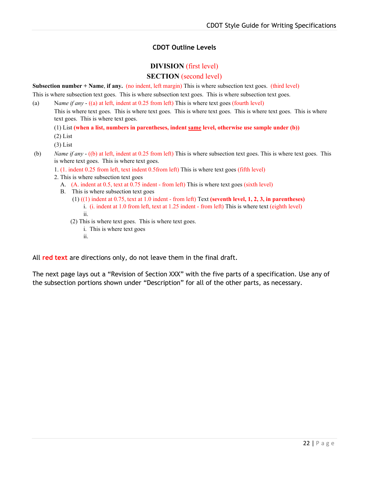# **CDOT Outline Levels**

# **DIVISION** (first level) **SECTION** (second level)

**Subsection number + Name**, **if any.** (no indent, left margin) This is where subsection text goes. (third level)

This is where subsection text goes. This is where subsection text goes. This is where subsection text goes.

(a) N*ame if any* - ((a) at left, indent at 0.25 from left) This is where text goes (fourth level)

This is where text goes. This is where text goes. This is where text goes. This is where text goes. This is where text goes. This is where text goes.

- (1) List **(when a list, numbers in parentheses, indent same level, otherwise use sample under (b))**
- (2) List
- (3) List
- (b) *Name if any* ((b) at left, indent at 0.25 from left) This is where subsection text goes. This is where text goes. This is where text goes. This is where text goes.
	- 1. (1. indent 0.25 from left, text indent 0.5from left) This is where text goes (fifth level)
	- 2. This is where subsection text goes
		- A. (A. indent at 0.5, text at 0.75 indent from left) This is where text goes (sixth level)
		- B. This is where subsection text goes
			- (1) ((1) indent at 0.75, text at 1.0 indent from left) Text **(seventh level, 1, 2, 3, in parentheses)** i. (i. indent at 1.0 from left, text at 1.25 indent - from left) This is where text (eighth level) ii.
			- (2) This is where text goes. This is where text goes.
				- i. This is where text goes
				- ii.

All **red text** are directions only, do not leave them in the final draft.

The next page lays out a "Revision of Section XXX" with the five parts of a specification. Use any of the subsection portions shown under "Description" for all of the other parts, as necessary.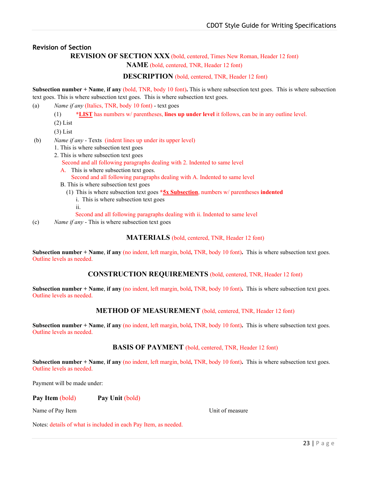## <span id="page-22-0"></span>**Revision of Section**

## **REVISION OF SECTION XXX** (bold, centered, Times New Roman, Header 12 font)

**NAME** (bold, centered, TNR, Header 12 font)

#### **DESCRIPTION** (bold, centered, TNR, Header 12 font)

**Subsection number + Name**, **if any** (bold, TNR, body 10 font)**.** This is where subsection text goes. This is where subsection text goes. This is where subsection text goes. This is where subsection text goes.

(a) *Name if any* (Italics, TNR, body 10 font) - text goes

- (1) **\*LIST** has numbers w/ parentheses, **lines up under level** it follows, can be in any outline level.
- (2) List
- (3) List
- (b) *Name if any* Texts (indent lines up under its upper level)
	- 1. This is where subsection text goes
	- 2. This is where subsection text goes

Second and all following paragraphs dealing with 2. Indented to same level

A. This is where subsection text goes.

Second and all following paragraphs dealing with A. Indented to same level

- B. This is where subsection text goes
	- (1) This is where subsection text goes **\*5x Subsection**, numbers w/ parentheses **indented**
		- i. This is where subsection text goes
		- ii.
		- Second and all following paragraphs dealing with ii. Indented to same level
- (c) *Name if any* This is where subsection text goes

**MATERIALS** (bold, centered, TNR, Header 12 font)

**Subsection number + Name**, **if any** (no indent, left margin, bold**,** TNR, body 10 font)**.** This is where subsection text goes. Outline levels as needed.

**CONSTRUCTION REQUIREMENTS** (bold, centered, TNR, Header 12 font)

**Subsection number + Name**, **if any** (no indent, left margin, bold**,** TNR, body 10 font)**.** This is where subsection text goes. Outline levels as needed.

#### **METHOD OF MEASUREMENT** (bold, centered, TNR, Header 12 font)

**Subsection number + Name**, **if any** (no indent, left margin, bold**,** TNR, body 10 font)**.** This is where subsection text goes. Outline levels as needed.

**BASIS OF PAYMENT** (bold, centered, TNR, Header 12 font)

**Subsection number + Name**, **if any** (no indent, left margin, bold**,** TNR, body 10 font)**.** This is where subsection text goes. Outline levels as needed.

Payment will be made under:

#### **Pay Item** (bold) **Pay Unit** (bold)

Name of Pay Item **Name of Pay Item** 1999 **Unit of measure** 

Notes: details of what is included in each Pay Item, as needed.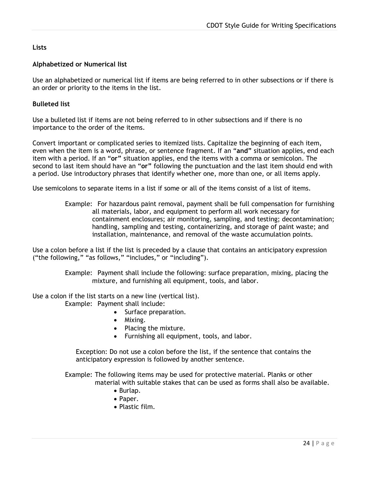# <span id="page-23-0"></span>**Lists**

# <span id="page-23-1"></span>**Alphabetized or Numerical list**

Use an alphabetized or numerical list if items are being referred to in other subsections or if there is an order or priority to the items in the list.

## <span id="page-23-2"></span>**Bulleted list**

Use a bulleted list if items are not being referred to in other subsections and if there is no importance to the order of the items.

Convert important or complicated series to itemized lists. Capitalize the beginning of each item, even when the item is a word, phrase, or sentence fragment. If an "**and"** situation applies, end each item with a period. If an "**or"** situation applies, end the items with a comma or semicolon. The second to last item should have an "**or"** following the punctuation and the last item should end with a period. Use introductory phrases that identify whether one, more than one, or all items apply.

Use semicolons to separate items in a list if some or all of the items consist of a list of items.

Example: For hazardous paint removal, payment shall be full compensation for furnishing all materials, labor, and equipment to perform all work necessary for containment enclosures; air monitoring, sampling, and testing; decontamination; handling, sampling and testing, containerizing, and storage of paint waste; and installation, maintenance, and removal of the waste accumulation points.

Use a colon before a list if the list is preceded by a clause that contains an anticipatory expression ("the following," "as follows," "includes," or "including").

> Example: Payment shall include the following: surface preparation, mixing, placing the mixture, and furnishing all equipment, tools, and labor.

Use a colon if the list starts on a new line (vertical list).

Example: Payment shall include:

- Surface preparation.
- Mixing.
- Placing the mixture.
- Furnishing all equipment, tools, and labor.

Exception: Do not use a colon before the list, if the sentence that contains the anticipatory expression is followed by another sentence.

Example: The following items may be used for protective material. Planks or other material with suitable stakes that can be used as forms shall also be available.

- Burlap.
- Paper.
- Plastic film.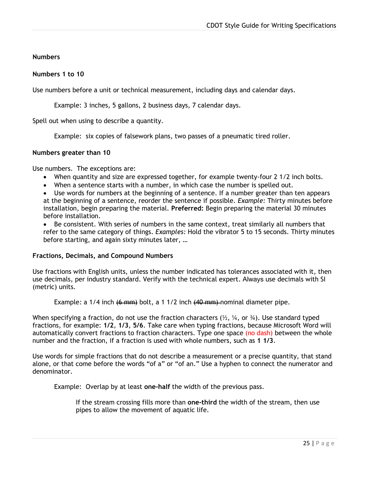# <span id="page-24-0"></span>**Numbers**

# <span id="page-24-1"></span>**Numbers 1 to 10**

Use numbers before a unit or technical measurement, including days and calendar days.

Example: 3 inches, 5 gallons, 2 business days, 7 calendar days.

Spell out when using to describe a quantity.

Example: six copies of falsework plans, two passes of a pneumatic tired roller.

## <span id="page-24-2"></span>**Numbers greater than 10**

Use numbers. The exceptions are:

- When quantity and size are expressed together, for example twenty-four 2 1/2 inch bolts.
- When a sentence starts with a number, in which case the number is spelled out.
- Use words for numbers at the beginning of a sentence. If a number greater than ten appears at the beginning of a sentence, reorder the sentence if possible. *Example:* Thirty minutes before installation, begin preparing the material. **Preferred:** Begin preparing the material 30 minutes before installation.

• Be consistent. With series of numbers in the same context, treat similarly all numbers that refer to the same category of things. *Examples:* Hold the vibrator 5 to 15 seconds. Thirty minutes before starting, and again sixty minutes later, …

## <span id="page-24-3"></span>**Fractions, Decimals, and Compound Numbers**

Use fractions with English units, unless the number indicated has tolerances associated with it, then use decimals, per industry standard. Verify with the technical expert. Always use decimals with SI (metric) units.

Example: a 1/4 inch <del>(6 mm)</del> bolt, a 1 1/2 inch <del>(40 mm)</del> nominal diameter pipe.

When specifying a fraction, do not use the fraction characters  $(\frac{1}{2}, \frac{1}{4}, \text{ or } \frac{3}{4})$ . Use standard typed fractions, for example: **1/2**, **1/3**, **5/6**. Take care when typing fractions, because Microsoft Word will automatically convert fractions to fraction characters. Type one space (no dash) between the whole number and the fraction, if a fraction is used with whole numbers, such as **1 1/3**.

Use words for simple fractions that do not describe a measurement or a precise quantity, that stand alone, or that come before the words "of a" or "of an." Use a hyphen to connect the numerator and denominator.

Example: Overlap by at least **one-half** the width of the previous pass.

If the stream crossing fills more than **one-third** the width of the stream, then use pipes to allow the movement of aquatic life.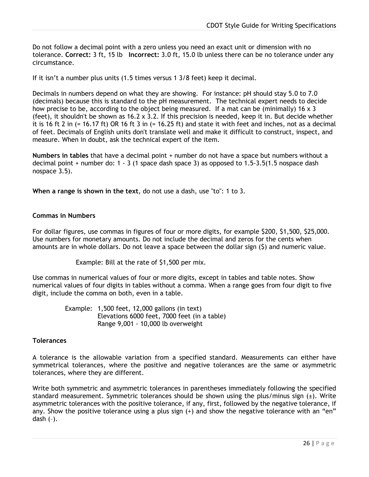Do not follow a decimal point with a zero unless you need an exact unit or dimension with no tolerance. **Correct:** 3 ft, 15 lb **Incorrect:** 3.0 ft, 15.0 lb unless there can be no tolerance under any circumstance.

If it isn't a number plus units (1.5 times versus 1 3/8 feet) keep it decimal.

Decimals in numbers depend on what they are showing. For instance: pH should stay 5.0 to 7.0 (decimals) because this is standard to the pH measurement. The technical expert needs to decide how precise to be, according to the object being measured. If a mat can be (minimally) 16 x 3 (feet), it shouldn't be shown as  $16.2 \times 3.2$ . If this precision is needed, keep it in. But decide whether it is 16 ft 2 in (= 16.17 ft) OR 16 ft 3 in (= 16.25 ft) and state it with feet and inches, not as a decimal of feet. Decimals of English units don't translate well and make it difficult to construct, inspect, and measure. When in doubt, ask the technical expert of the item.

**Numbers in tables** that have a decimal point + number do not have a space but numbers without a decimal point + number do: 1 - 3 (1 space dash space 3) as opposed to 1.5-3.5(1.5 nospace dash nospace 3.5).

**When a range is shown in the text**, do not use a dash, use "to": 1 to 3.

#### <span id="page-25-0"></span>**Commas in Numbers**

For dollar figures, use commas in figures of four or more digits, for example \$200, \$1,500, \$25,000. Use numbers for monetary amounts. Do not include the decimal and zeros for the cents when amounts are in whole dollars. Do not leave a space between the dollar sign (\$) and numeric value.

Example: Bill at the rate of \$1,500 per mix.

Use commas in numerical values of four or more digits, except in tables and table notes. Show numerical values of four digits in tables without a comma. When a range goes from four digit to five digit, include the comma on both, even in a table.

> Example: 1,500 feet, 12,000 gallons (in text) Elevations 6000 feet, 7000 feet (in a table) Range 9,001 - 10,000 lb overweight

#### <span id="page-25-1"></span>**Tolerances**

A tolerance is the allowable variation from a specified standard. Measurements can either have symmetrical tolerances, where the positive and negative tolerances are the same or asymmetric tolerances, where they are different.

Write both symmetric and asymmetric tolerances in parentheses immediately following the specified standard measurement. Symmetric tolerances should be shown using the plus/minus sign  $(\pm)$ . Write asymmetric tolerances with the positive tolerance, if any, first, followed by the negative tolerance, if any. Show the positive tolerance using a plus sign (+) and show the negative tolerance with an "en" dash (–).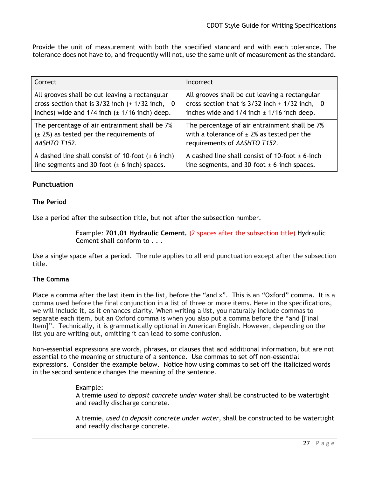Provide the unit of measurement with both the specified standard and with each tolerance. The tolerance does not have to, and frequently will not, use the same unit of measurement as the standard.

| Correct                                               | Incorrect                                            |
|-------------------------------------------------------|------------------------------------------------------|
| All grooves shall be cut leaving a rectangular        | All grooves shall be cut leaving a rectangular       |
| cross-section that is $3/32$ inch (+ $1/32$ inch, - 0 | cross-section that is $3/32$ inch + $1/32$ inch, - 0 |
| inches) wide and $1/4$ inch ( $\pm$ 1/16 inch) deep.  | inches wide and $1/4$ inch $\pm$ 1/16 inch deep.     |
| The percentage of air entrainment shall be 7%         | The percentage of air entrainment shall be 7%        |
| $(\pm 2%)$ as tested per the requirements of          | with a tolerance of $\pm$ 2% as tested per the       |
| AASHTO T152.                                          | requirements of AASHTO T152.                         |
| A dashed line shall consist of 10-foot $(\pm 6$ inch) | A dashed line shall consist of 10-foot $\pm$ 6-inch  |
| line segments and 30-foot $(\pm 6$ inch) spaces.      | line segments, and 30-foot $\pm$ 6-inch spaces.      |

# <span id="page-26-0"></span>**Punctuation**

# <span id="page-26-1"></span>**The Period**

Use a period after the subsection title, but not after the subsection number.

Example*:* **701.01 Hydraulic Cement.** (2 spaces after the subsection title) Hydraulic Cement shall conform to . . .

Use a single space after a period. The rule applies to all end punctuation except after the subsection title.

## <span id="page-26-2"></span>**The Comma**

Place a comma after the last item in the list, before the "and x". This is an "Oxford" comma. It is a comma used before the final conjunction in a list of three or more items. Here in the specifications, we will include it, as it enhances clarity. When writing a list, you naturally include commas to separate each item, but an Oxford comma is when you also put a comma before the "and [Final Item]". Technically, it is grammatically optional in American English. However, depending on the list you are writing out, omitting it can lead to some confusion.

Non-essential expressions are words, phrases, or clauses that add additional information, but are not essential to the meaning or structure of a sentence. Use commas to set off non-essential expressions. Consider the example below. Notice how using commas to set off the italicized words in the second sentence changes the meaning of the sentence.

## Example:

A tremie *used to deposit concrete under water* shall be constructed to be watertight and readily discharge concrete.

A tremie, *used to deposit concrete under water*, shall be constructed to be watertight and readily discharge concrete.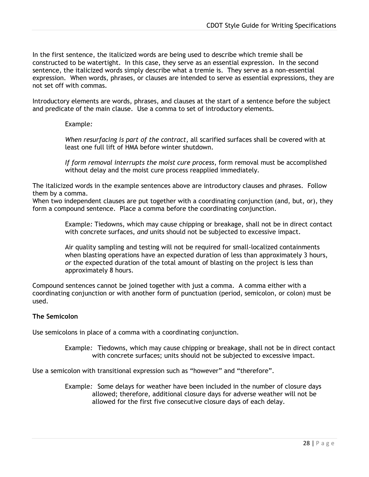In the first sentence, the italicized words are being used to describe which tremie shall be constructed to be watertight. In this case, they serve as an essential expression. In the second sentence, the italicized words simply describe what a tremie is. They serve as a non-essential expression. When words, phrases, or clauses are intended to serve as essential expressions, they are not set off with commas.

Introductory elements are words, phrases, and clauses at the start of a sentence before the subject and predicate of the main clause. Use a comma to set of introductory elements.

## Example*:*

*When resurfacing is part of the contract*, all scarified surfaces shall be covered with at least one full lift of HMA before winter shutdown.

*If form removal interrupts the moist cure process*, form removal must be accomplished without delay and the moist cure process reapplied immediately.

The italicized words in the example sentences above are introductory clauses and phrases. Follow them by a comma.

When two independent clauses are put together with a coordinating conjunction (and, but, or), they form a compound sentence. Place a comma before the coordinating conjunction.

> Example*:* Tiedowns, which may cause chipping or breakage, shall not be in direct contact with concrete surfaces, *and* units should not be subjected to excessive impact.

Air quality sampling and testing will not be required for small-localized containments when blasting operations have an expected duration of less than approximately 3 hours, *or* the expected duration of the total amount of blasting on the project is less than approximately 8 hours.

Compound sentences cannot be joined together with just a comma. A comma either with a coordinating conjunction or with another form of punctuation (period, semicolon, or colon) must be used.

## <span id="page-27-0"></span>**The Semicolon**

Use semicolons in place of a comma with a coordinating conjunction.

Example*:* Tiedowns, which may cause chipping or breakage, shall not be in direct contact with concrete surfaces; units should not be subjected to excessive impact.

Use a semicolon with transitional expression such as "however" and "therefore".

Example*:* Some delays for weather have been included in the number of closure days allowed; therefore, additional closure days for adverse weather will not be allowed for the first five consecutive closure days of each delay.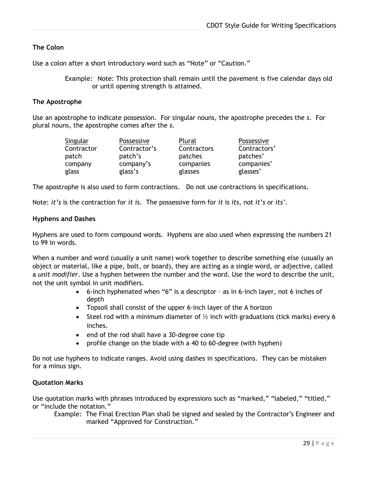# <span id="page-28-0"></span>**The Colon**

Use a colon after a short introductory word such as "Note" or "Caution."

Example*:* Note: This protection shall remain until the pavement is five calendar days old or until opening strength is attained.

#### <span id="page-28-1"></span>**The Apostrophe**

Use an apostrophe to indicate possession. For singular nouns, the apostrophe precedes the *s*. For plural nouns, the apostrophe comes after the *s*.

| Singular   | Possessive   | Plural      | Possessive   |
|------------|--------------|-------------|--------------|
| Contractor | Contractor's | Contractors | Contractors' |
| patch      | patch's      | patches     | patches'     |
| company    | company's    | companies   | companies'   |
| glass      | glass's      | glasses     | glasses'     |

The apostrophe is also used to form contractions. Do not use contractions in specifications.

Note: *it's* is the contraction for *it is*. The possessive form for *it* is *its*, not *it's* or *its'*.

#### <span id="page-28-2"></span>**Hyphens and Dashes**

Hyphens are used to form compound words. Hyphens are also used when expressing the numbers 21 to 99 in words.

When a number and word (usually a unit name) work together to describe something else (usually an object or material, like a pipe, bolt, or board), they are acting as a single word, or adjective, called a *unit modifier*. Use a hyphen between the number and the word. Use the word to describe the unit, not the unit symbol in unit modifiers.

- 6-inch hyphenated when "6" is a descriptor as in 6-inch layer, not 6 inches of depth
- Topsoil shall consist of the upper 6-inch layer of the A horizon
- Steel rod with a minimum diameter of  $\frac{1}{2}$  inch with graduations (tick marks) every 6 inches.
- end of the rod shall have a 30-degree cone tip
- profile change on the blade with a 40 to 60-degree (with hyphen)

Do not use hyphens to indicate ranges. Avoid using dashes in specifications. They can be mistaken for a minus sign.

#### <span id="page-28-3"></span>**Quotation Marks**

Use quotation marks with phrases introduced by expressions such as "marked," "labeled," "titled," or "include the notation."

Example*:* The Final Erection Plan shall be signed and sealed by the Contractor's Engineer and marked "Approved for Construction."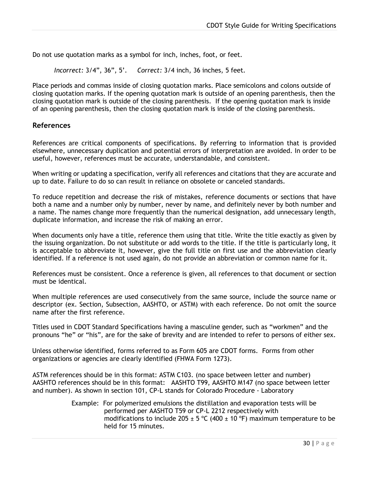Do not use quotation marks as a symbol for inch, inches, foot, or feet.

*Incorrect:* 3/4", 36", 5'. *Correct:* 3/4 inch, 36 inches, 5 feet.

Place periods and commas inside of closing quotation marks. Place semicolons and colons outside of closing quotation marks. If the opening quotation mark is outside of an opening parenthesis, then the closing quotation mark is outside of the closing parenthesis. If the opening quotation mark is inside of an opening parenthesis, then the closing quotation mark is inside of the closing parenthesis.

## <span id="page-29-0"></span>**References**

References are critical components of specifications. By referring to information that is provided elsewhere, unnecessary duplication and potential errors of interpretation are avoided. In order to be useful, however, references must be accurate, understandable, and consistent.

When writing or updating a specification, verify all references and citations that they are accurate and up to date. Failure to do so can result in reliance on obsolete or canceled standards.

To reduce repetition and decrease the risk of mistakes, reference documents or sections that have both a name and a number only by number, never by name, and definitely never by both number and a name. The names change more frequently than the numerical designation, add unnecessary length, duplicate information, and increase the risk of making an error.

When documents only have a title, reference them using that title. Write the title exactly as given by the issuing organization. Do not substitute or add words to the title. If the title is particularly long, it is acceptable to abbreviate it, however, give the full title on first use and the abbreviation clearly identified. If a reference is not used again, do not provide an abbreviation or common name for it.

References must be consistent. Once a reference is given, all references to that document or section must be identical.

When multiple references are used consecutively from the same source, include the source name or descriptor (ex. Section, Subsection, AASHTO, or ASTM) with each reference. Do not omit the source name after the first reference.

Titles used in CDOT Standard Specifications having a masculine gender, such as "workmen" and the pronouns "he" or "his", are for the sake of brevity and are intended to refer to persons of either sex.

Unless otherwise identified, forms referred to as Form 605 are CDOT forms. Forms from other organizations or agencies are clearly identified (FHWA Form 1273).

ASTM references should be in this format: ASTM C103. (no space between letter and number) AASHTO references should be in this format: AASHTO T99, AASHTO M147 (no space between letter and number). As shown in section 101, CP-L stands for Colorado Procedure - Laboratory

> Example: For polymerized emulsions the distillation and evaporation tests will be performed per AASHTO T59 or CP-L 2212 respectively with modifications to include 205  $\pm$  5 °C (400  $\pm$  10 °F) maximum temperature to be held for 15 minutes.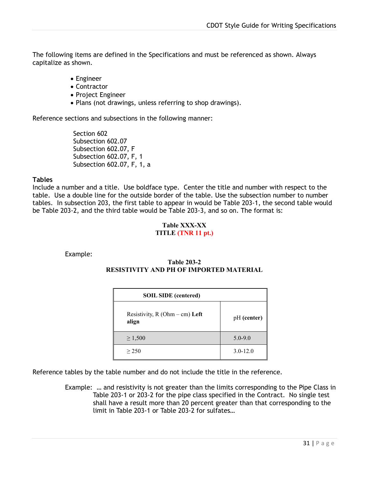The following items are defined in the Specifications and must be referenced as shown. Always capitalize as shown.

- Engineer
- Contractor
- Project Engineer
- Plans (not drawings, unless referring to shop drawings).

Reference sections and subsections in the following manner:

Section 602 Subsection 602.07 Subsection 602.07, F Subsection 602.07, F, 1 Subsection 602.07, F, 1, a

#### **Tables**

Include a number and a title. Use boldface type. Center the title and number with respect to the table. Use a double line for the outside border of the table. Use the subsection number to number tables. In subsection 203, the first table to appear in would be Table 203-1, the second table would be Table 203-2, and the third table would be Table 203-3, and so on. The format is:

#### <span id="page-30-0"></span>**Table XXX-XX TITLE (TNR 11 pt.)**

Example:

## **Table 203-2 RESISTIVITY AND PH OF IMPORTED MATERIAL**

| <b>SOIL SIDE</b> (centered)              |              |  |
|------------------------------------------|--------------|--|
| Resistivity, $R(Ohm - cm)$ Left<br>align | pH (center)  |  |
| $\geq 1,500$                             | $5.0 - 9.0$  |  |
| > 250                                    | $3.0 - 12.0$ |  |

Reference tables by the table number and do not include the title in the reference.

Example:… and resistivity is not greater than the limits corresponding to the Pipe Class in Table 203-1 or 203-2 for the pipe class specified in the Contract. No single test shall have a result more than 20 percent greater than that corresponding to the limit in Table 203-1 or Table 203-2 for sulfates…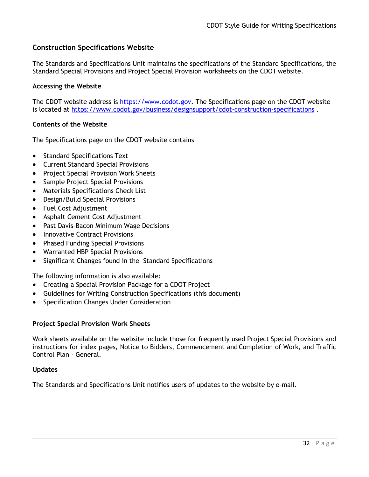# <span id="page-31-0"></span>**Construction Specifications Website**

The Standards and Specifications Unit maintains the specifications of the Standard Specifications*,* the Standard Special Provisions and Project Special Provision worksheets on the CDOT website.

#### <span id="page-31-1"></span>**Accessing the Website**

The CDOT website address is [https://www.codot.gov.](https://www.codot.gov/) The Specifications page on the CDOT website is located at<https://www.codot.gov/business/designsupport/cdot-construction-specifications>.

#### <span id="page-31-2"></span>**Contents of the Website**

The Specifications page on the CDOT website contains

- Standard [Specifications](http://www.dot.state.co.us/DesignSupport/Construction/1999text.htm) Text
- Current [Standard Special](http://www.dot.state.co.us/DesignSupport/Construction/1999ssp.htm) Provisions
- [Project Special Provision Work](http://www.dot.state.co.us/DesignSupport/Construction/1999ws.htm) Sheets
- [Sample Project Special](http://www.dot.state.co.us/DesignSupport/Construction/1999psp.htm) Provisions
- [Materials Specifications Check](http://www.dot.state.co.us/DesignSupport/Materials%20Specs%20Check%20Lists%20in%20MS%20Excel/Index.htm) List
- [Design/Build Special](http://www.dot.state.co.us/DesignSupport/Construction/1999d-bsp.htm) Provisions
- Fuel Cost [Adjustment](http://www.dot.state.co.us/DesignSupport/Construction/Fuel%20Cost%20Adjustments/Fuel%20Cost%20Adjustment%20Index.htm)
- Asphalt Cement Cost Adjustment
- [Past Davis-Bacon Minimum Wage](http://www.dot.state.co.us/DesignSupport/Construction/Past%20%20Min.%20Wage%20Decisions/Min%20Wage%20%20Index.htm) Decisions
- [Innovative Contract](http://www.dot.state.co.us/DesignSupport/Construction/1999innov.htm) Provisions
- [Phased Funding Special Provisions](http://www.dot.state.co.us/DesignSupport/Construction/Phased%20Funding%20Special%20Provision/Phased%20Funding%20Index.htm)
- [Warranted HBP Special](http://www.dot.state.co.us/DesignSupport/Construction/1999whbp.htm) Provisions
- [Significant Changes found in the](http://www.dot.state.co.us/DesignSupport/Construction/1999book/Significant%20Changes.doc) Standard Specifications

The following information is also available:

- [Creating a Special Provision Package for a CDOT](http://www.dot.state.co.us/DesignSupport/Construction/Instructions/Web%20Instructions.doc) Project
- [Guidelines for Writing Construction Specifications](http://www.dot.state.co.us/DesignSupport/Construction/Guidelines/chap12.doc) (this document)
- [Specification Changes Under Consideration](http://www.dot.state.co.us/DesignSupport/Construction/SpecCh.htm)

#### <span id="page-31-3"></span>**Project Special Provision Work Sheets**

Work sheets available on the website include those for frequently used Project Special Provisions and instructions for index pages, Notice to Bidders, Commencement and Completion of Work, and Traffic Control Plan - General.

#### <span id="page-31-4"></span>**Updates**

The Standards and Specifications Unit notifies users of updates to the website by e-mail.